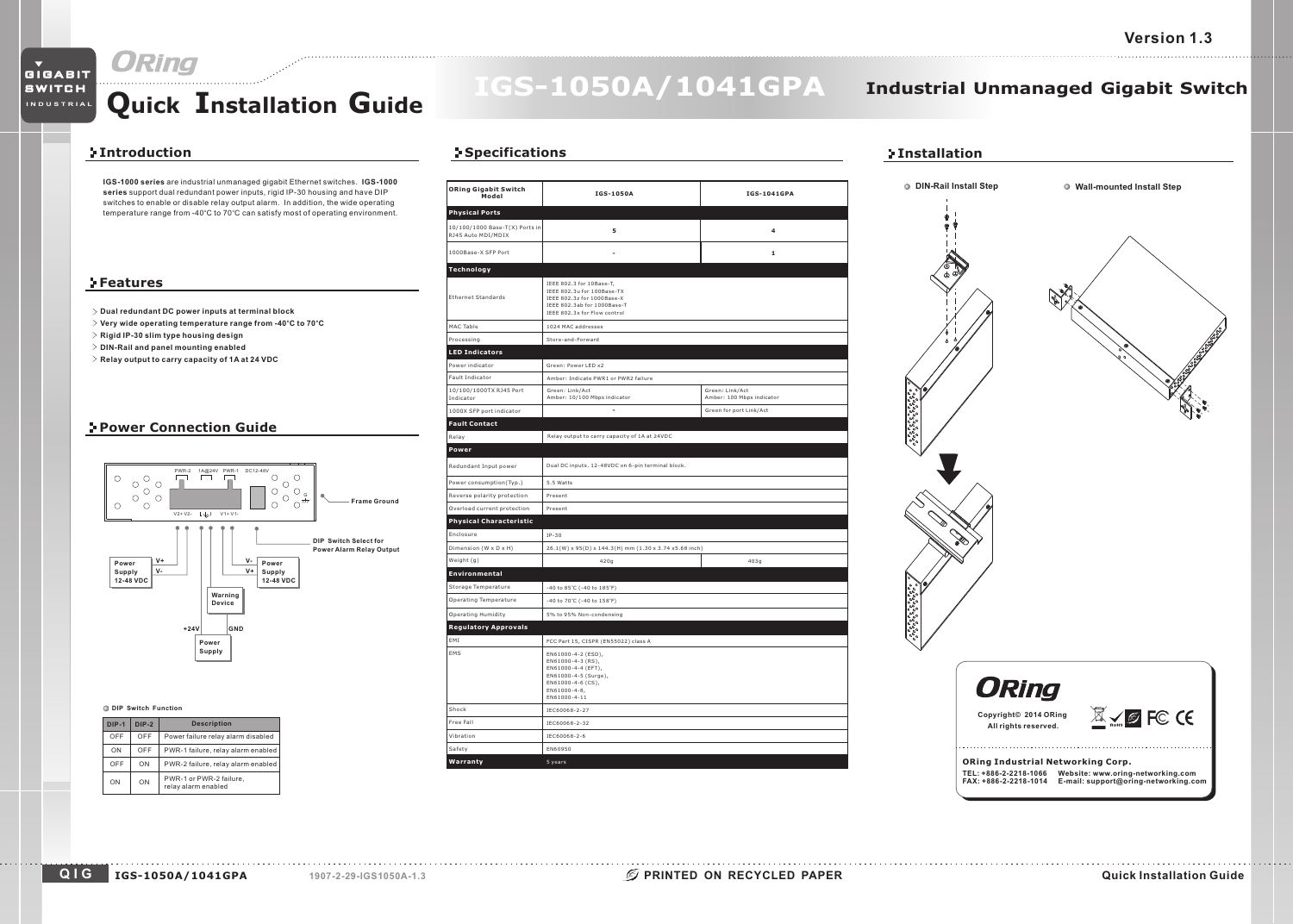# GIGABIT

SWITCH **INDUSTRIAL**

# **Quick Installation Guide**

# **IGS-1050A/1041GPA**

# **Industrial Unmanaged Gigabit Switch**

## **Introduction**

**IGS-1000 series** are industrial unmanaged gigabit Ethernet switches. **IGS-1000 series** support dual redundant power inputs, rigid IP-30 housing and have DIP switches to enable or disable relay output alarm. In addition, the wide operating temperature range from -40°C to 70°C can satisfy most of operating environment.

## **Features**

- **Dual redundant DC power inputs at terminal block**
- Very wide operating temperature range from -40°C to 70°C
- **Rigid IP-30 slim type housing design**
- **DIN-Rail and panel mounting enabled**
- **Relay output to carry capacity of 1A at 24 VDC**

# **Power Connection Guide**



| DIP-1 | <b>DIP-2</b> | <b>Description</b>                             |
|-------|--------------|------------------------------------------------|
| OFF   | OFF          | Power failure relay alarm disabled             |
| ON    | OFF          | PWR-1 failure, relay alarm enabled             |
| OFF   | ON           | PWR-2 failure, relay alarm enabled             |
| ON    | ON           | PWR-1 or PWR-2 failure,<br>relav alarm enabled |

# **Specifications**

| <b>ORing Gigabit Switch</b><br>Model                 | IGS-1050A                                                                                                                                           | <b>IGS-1041GPA</b>                           |  |  |
|------------------------------------------------------|-----------------------------------------------------------------------------------------------------------------------------------------------------|----------------------------------------------|--|--|
| <b>Physical Ports</b>                                |                                                                                                                                                     |                                              |  |  |
| 10/100/1000 Base-T(X) Ports in<br>RJ45 Auto MDI/MDIX | 5                                                                                                                                                   | 4                                            |  |  |
| 1000Base-X SFP Port                                  | ÷.                                                                                                                                                  | $\mathbf{1}$                                 |  |  |
| Technology                                           |                                                                                                                                                     |                                              |  |  |
| <b>Ethernet Standards</b>                            | IEEE 802.3 for 10Base-T,<br>IEEE 802.3u for 100Base-TX<br>IEEE 802.3z for 1000Base-X<br>IEEE 802.3ab for 1000Base-T<br>IEEE 802.3x for Flow control |                                              |  |  |
| MAC Table                                            | 1024 MAC addresses                                                                                                                                  |                                              |  |  |
| Processing                                           | Store-and-Forward                                                                                                                                   |                                              |  |  |
| <b>LED Indicators</b>                                |                                                                                                                                                     |                                              |  |  |
| Power indicator                                      | Green: Power LED x2                                                                                                                                 |                                              |  |  |
| Fault Indicator                                      | Amber: Indicate PWR1 or PWR2 failure                                                                                                                |                                              |  |  |
| 10/100/1000TX RJ45 Port<br>Indicator                 | Green: Link/Act<br>Amber: 10/100 Mbps indicator                                                                                                     | Green: Link/Act<br>Amber: 100 Mbps indicator |  |  |
| 1000X SFP port indicator                             | L.                                                                                                                                                  | Green for port Link/Act                      |  |  |
| <b>Fault Contact</b>                                 |                                                                                                                                                     |                                              |  |  |
| Relay                                                | Relay output to carry capacity of 1A at 24VDC                                                                                                       |                                              |  |  |
| Power                                                |                                                                                                                                                     |                                              |  |  |
| Redundant Input power                                | Dual DC inputs. 12-48VDC on 6-pin terminal block.                                                                                                   |                                              |  |  |
| Power consumption(Typ.)                              | 5.5 Watts                                                                                                                                           |                                              |  |  |
| Reverse polarity protection                          | Present                                                                                                                                             |                                              |  |  |
| Overload current protection                          | Present                                                                                                                                             |                                              |  |  |
| <b>Physical Characteristic</b>                       |                                                                                                                                                     |                                              |  |  |
| Enclosure                                            | $IP-30$                                                                                                                                             |                                              |  |  |
| Dimension (W x D x H)                                | 26.1(W) x 95(D) x 144.3(H) mm (1.30 x 3.74 x5.68 inch)                                                                                              |                                              |  |  |
| Weight (g)                                           | 420q                                                                                                                                                | 403q                                         |  |  |
| Environmental                                        |                                                                                                                                                     |                                              |  |  |
| Storage Temperature                                  | -40 to 85°C (-40 to 185°F)                                                                                                                          |                                              |  |  |
| Operating Temperature                                | -40 to 70°C (-40 to 158°F)                                                                                                                          |                                              |  |  |
| Operating Humidity<br><b>Regulatory Approvals</b>    | 5% to 95% Non-condensing                                                                                                                            |                                              |  |  |
| EMI                                                  | FCC Part 15, CISPR (EN55022) class A                                                                                                                |                                              |  |  |
| EMS                                                  | EN61000-4-2 (ESD),<br>EN61000-4-3 (RS),<br>EN61000-4-4 (EFT),<br>EN61000-4-5 (Surge),<br>EN61000-4-6 (CS),<br>$EN61000-4-8,$<br>EN61000-4-11        |                                              |  |  |
| Shock                                                | IEC60068-2-27                                                                                                                                       |                                              |  |  |
| Free Fall                                            | IEC60068-2-32                                                                                                                                       |                                              |  |  |
| Vibration                                            | IEC60068-2-6                                                                                                                                        |                                              |  |  |
| Safety                                               | EN60950                                                                                                                                             |                                              |  |  |
| Warranty                                             | 5 years                                                                                                                                             |                                              |  |  |



# **ORing Industrial Networking Corp. TEL: +886-2-2218-1066 FAX: +886-2-2218-1014 Website: www.oring-networking.com E-mail: support@oring-networking.com**

### **QIGIGS-1050A/1041GPA 1907-2-29-IGS1050A-1.3**